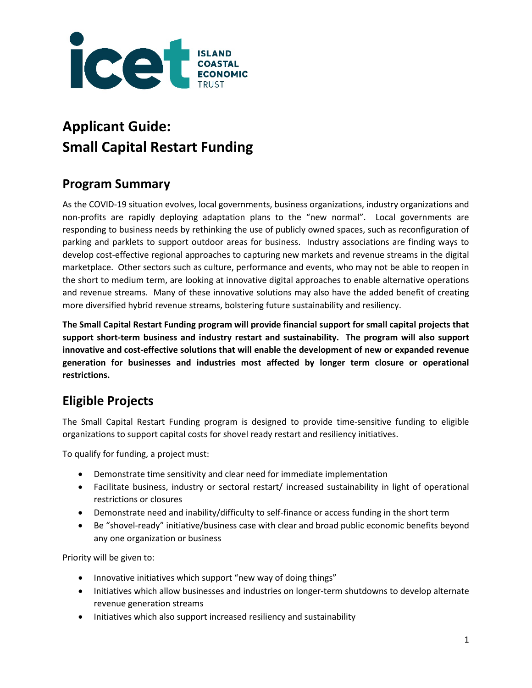

# **Applicant Guide: Small Capital Restart Funding**

## **Program Summary**

As the COVID-19 situation evolves, local governments, business organizations, industry organizations and non-profits are rapidly deploying adaptation plans to the "new normal". Local governments are responding to business needs by rethinking the use of publicly owned spaces, such as reconfiguration of parking and parklets to support outdoor areas for business. Industry associations are finding ways to develop cost-effective regional approaches to capturing new markets and revenue streams in the digital marketplace. Other sectors such as culture, performance and events, who may not be able to reopen in the short to medium term, are looking at innovative digital approaches to enable alternative operations and revenue streams. Many of these innovative solutions may also have the added benefit of creating more diversified hybrid revenue streams, bolstering future sustainability and resiliency.

**The Small Capital Restart Funding program will provide financial support for small capital projects that support short-term business and industry restart and sustainability. The program will also support innovative and cost-effective solutions that will enable the development of new or expanded revenue generation for businesses and industries most affected by longer term closure or operational restrictions.**

# **Eligible Projects**

The Small Capital Restart Funding program is designed to provide time-sensitive funding to eligible organizations to support capital costs for shovel ready restart and resiliency initiatives.

To qualify for funding, a project must:

- Demonstrate time sensitivity and clear need for immediate implementation
- Facilitate business, industry or sectoral restart/ increased sustainability in light of operational restrictions or closures
- Demonstrate need and inability/difficulty to self-finance or access funding in the short term
- Be "shovel-ready" initiative/business case with clear and broad public economic benefits beyond any one organization or business

Priority will be given to:

- Innovative initiatives which support "new way of doing things"
- Initiatives which allow businesses and industries on longer-term shutdowns to develop alternate revenue generation streams
- Initiatives which also support increased resiliency and sustainability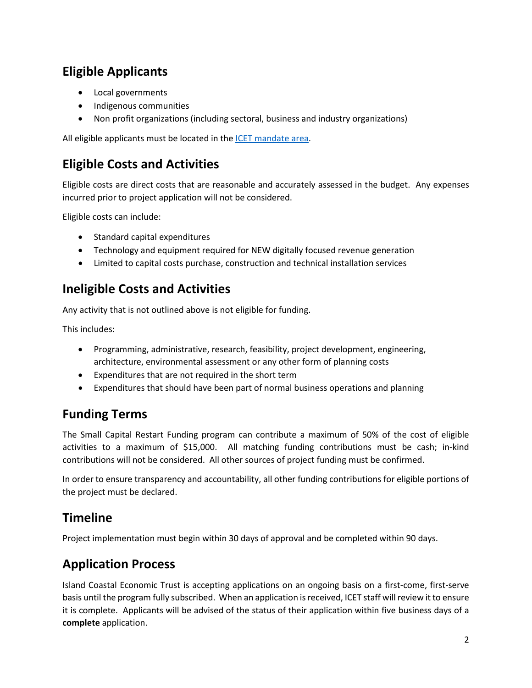# **Eligible Applicants**

- Local governments
- Indigenous communities
- Non profit organizations (including sectoral, business and industry organizations)

All eligible applicants must be located in the **ICET** mandate area.

## **Eligible Costs and Activities**

Eligible costs are direct costs that are reasonable and accurately assessed in the budget. Any expenses incurred prior to project application will not be considered.

Eligible costs can include:

- Standard capital expenditures
- Technology and equipment required for NEW digitally focused revenue generation
- Limited to capital costs purchase, construction and technical installation services

#### **Ineligible Costs and Activities**

Any activity that is not outlined above is not eligible for funding.

This includes:

- Programming, administrative, research, feasibility, project development, engineering, architecture, environmental assessment or any other form of planning costs
- Expenditures that are not required in the short term
- Expenditures that should have been part of normal business operations and planning

#### **Fund**i**ng Terms**

The Small Capital Restart Funding program can contribute a maximum of 50% of the cost of eligible activities to a maximum of \$15,000. All matching funding contributions must be cash; in-kind contributions will not be considered. All other sources of project funding must be confirmed.

In order to ensure transparency and accountability, all other funding contributions for eligible portions of the project must be declared.

#### **Timeline**

Project implementation must begin within 30 days of approval and be completed within 90 days.

#### **Application Process**

Island Coastal Economic Trust is accepting applications on an ongoing basis on a first-come, first-serve basis until the program fully subscribed. When an application is received, ICET staff will review it to ensure it is complete. Applicants will be advised of the status of their application within five business days of a **complete** application.